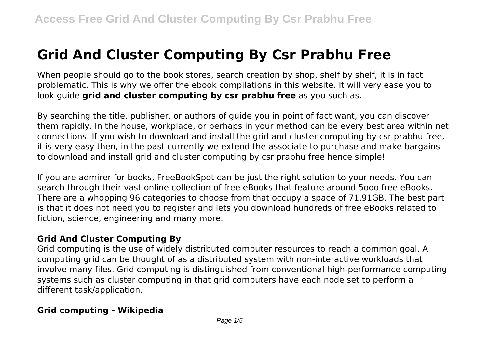# **Grid And Cluster Computing By Csr Prabhu Free**

When people should go to the book stores, search creation by shop, shelf by shelf, it is in fact problematic. This is why we offer the ebook compilations in this website. It will very ease you to look guide **grid and cluster computing by csr prabhu free** as you such as.

By searching the title, publisher, or authors of guide you in point of fact want, you can discover them rapidly. In the house, workplace, or perhaps in your method can be every best area within net connections. If you wish to download and install the grid and cluster computing by csr prabhu free, it is very easy then, in the past currently we extend the associate to purchase and make bargains to download and install grid and cluster computing by csr prabhu free hence simple!

If you are admirer for books, FreeBookSpot can be just the right solution to your needs. You can search through their vast online collection of free eBooks that feature around 5ooo free eBooks. There are a whopping 96 categories to choose from that occupy a space of 71.91GB. The best part is that it does not need you to register and lets you download hundreds of free eBooks related to fiction, science, engineering and many more.

## **Grid And Cluster Computing By**

Grid computing is the use of widely distributed computer resources to reach a common goal. A computing grid can be thought of as a distributed system with non-interactive workloads that involve many files. Grid computing is distinguished from conventional high-performance computing systems such as cluster computing in that grid computers have each node set to perform a different task/application.

## **Grid computing - Wikipedia**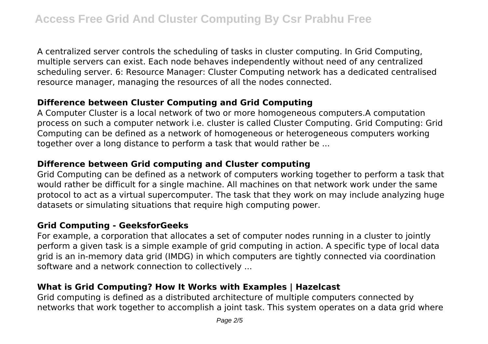A centralized server controls the scheduling of tasks in cluster computing. In Grid Computing, multiple servers can exist. Each node behaves independently without need of any centralized scheduling server. 6: Resource Manager: Cluster Computing network has a dedicated centralised resource manager, managing the resources of all the nodes connected.

## **Difference between Cluster Computing and Grid Computing**

A Computer Cluster is a local network of two or more homogeneous computers.A computation process on such a computer network i.e. cluster is called Cluster Computing. Grid Computing: Grid Computing can be defined as a network of homogeneous or heterogeneous computers working together over a long distance to perform a task that would rather be ...

## **Difference between Grid computing and Cluster computing**

Grid Computing can be defined as a network of computers working together to perform a task that would rather be difficult for a single machine. All machines on that network work under the same protocol to act as a virtual supercomputer. The task that they work on may include analyzing huge datasets or simulating situations that require high computing power.

## **Grid Computing - GeeksforGeeks**

For example, a corporation that allocates a set of computer nodes running in a cluster to jointly perform a given task is a simple example of grid computing in action. A specific type of local data grid is an in-memory data grid (IMDG) in which computers are tightly connected via coordination software and a network connection to collectively ...

# **What is Grid Computing? How It Works with Examples | Hazelcast**

Grid computing is defined as a distributed architecture of multiple computers connected by networks that work together to accomplish a joint task. This system operates on a data grid where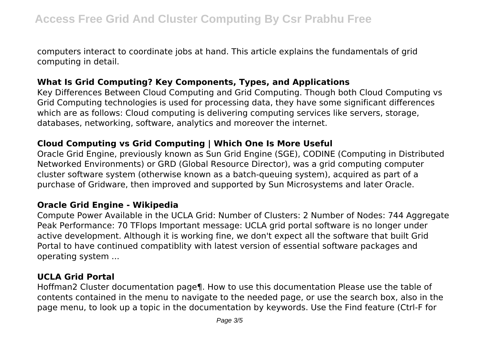computers interact to coordinate jobs at hand. This article explains the fundamentals of grid computing in detail.

## **What Is Grid Computing? Key Components, Types, and Applications**

Key Differences Between Cloud Computing and Grid Computing. Though both Cloud Computing vs Grid Computing technologies is used for processing data, they have some significant differences which are as follows: Cloud computing is delivering computing services like servers, storage, databases, networking, software, analytics and moreover the internet.

#### **Cloud Computing vs Grid Computing | Which One Is More Useful**

Oracle Grid Engine, previously known as Sun Grid Engine (SGE), CODINE (Computing in Distributed Networked Environments) or GRD (Global Resource Director), was a grid computing computer cluster software system (otherwise known as a batch-queuing system), acquired as part of a purchase of Gridware, then improved and supported by Sun Microsystems and later Oracle.

#### **Oracle Grid Engine - Wikipedia**

Compute Power Available in the UCLA Grid: Number of Clusters: 2 Number of Nodes: 744 Aggregate Peak Performance: 70 TFlops Important message: UCLA grid portal software is no longer under active development. Although it is working fine, we don't expect all the software that built Grid Portal to have continued compatiblity with latest version of essential software packages and operating system ...

#### **UCLA Grid Portal**

Hoffman2 Cluster documentation page¶. How to use this documentation Please use the table of contents contained in the menu to navigate to the needed page, or use the search box, also in the page menu, to look up a topic in the documentation by keywords. Use the Find feature (Ctrl-F for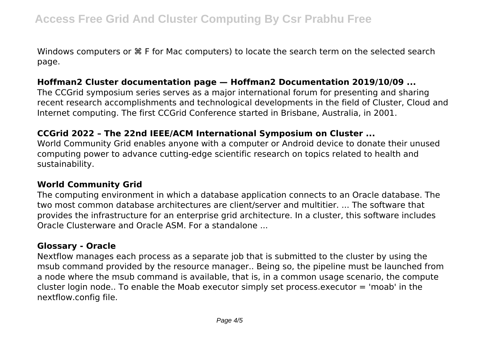Windows computers or ⌘ F for Mac computers) to locate the search term on the selected search page.

## **Hoffman2 Cluster documentation page — Hoffman2 Documentation 2019/10/09 ...**

The CCGrid symposium series serves as a major international forum for presenting and sharing recent research accomplishments and technological developments in the field of Cluster, Cloud and Internet computing. The first CCGrid Conference started in Brisbane, Australia, in 2001.

#### **CCGrid 2022 – The 22nd IEEE/ACM International Symposium on Cluster ...**

World Community Grid enables anyone with a computer or Android device to donate their unused computing power to advance cutting-edge scientific research on topics related to health and sustainability.

#### **World Community Grid**

The computing environment in which a database application connects to an Oracle database. The two most common database architectures are client/server and multitier. ... The software that provides the infrastructure for an enterprise grid architecture. In a cluster, this software includes Oracle Clusterware and Oracle ASM. For a standalone ...

## **Glossary - Oracle**

Nextflow manages each process as a separate job that is submitted to the cluster by using the msub command provided by the resource manager.. Being so, the pipeline must be launched from a node where the msub command is available, that is, in a common usage scenario, the compute cluster login node.. To enable the Moab executor simply set process.executor = 'moab' in the nextflow.config file.